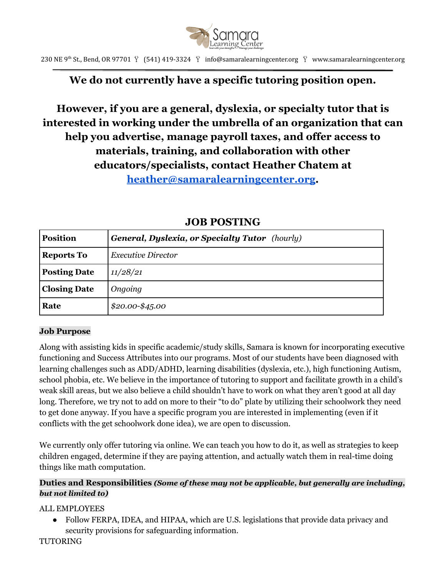

230 NE 9<sup>th</sup> St., Bend, OR 97701  $\breve{Y}$  (541) 419-3324  $\breve{Y}$  info@samaralearningcenter.org  $\breve{Y}$  www.samaralearningcenter.org

# **We do not currently have a specific tutoring position open.**

# **However, if you are a general, dyslexia, or specialty tutor that is interested in working under the umbrella of an organization that can help you advertise, manage payroll taxes, and offer access to materials, training, and collaboration with other educators/specialists, contact Heather Chatem at [heather@samaralearningcenter.org](mailto:heather@samaralearningcenter.org).**

| <b>Position</b>     | <b>General, Dyslexia, or Specialty Tutor</b> (hourly) |
|---------------------|-------------------------------------------------------|
| <b>Reports To</b>   | <b>Executive Director</b>                             |
| <b>Posting Date</b> | 11/28/21                                              |
| <b>Closing Date</b> | Ongoing                                               |
| Rate                | $$20.00 - $45.00$                                     |

## **JOB POSTING**

#### **Job Purpose**

Along with assisting kids in specific academic/study skills, Samara is known for incorporating executive functioning and Success Attributes into our programs. Most of our students have been diagnosed with learning challenges such as ADD/ADHD, learning disabilities (dyslexia, etc.), high functioning Autism, school phobia, etc. We believe in the importance of tutoring to support and facilitate growth in a child's weak skill areas, but we also believe a child shouldn't have to work on what they aren't good at all day long. Therefore, we try not to add on more to their "to do" plate by utilizing their schoolwork they need to get done anyway. If you have a specific program you are interested in implementing (even if it conflicts with the get schoolwork done idea), we are open to discussion.

We currently only offer tutoring via online. We can teach you how to do it, as well as strategies to keep children engaged, determine if they are paying attention, and actually watch them in real-time doing things like math computation.

### **Duties and Responsibilities** *(Some of these may not be applicable, but generally are including, but not limited to)*

### ALL EMPLOYEES

● Follow FERPA, IDEA, and HIPAA, which are U.S. legislations that provide data privacy and security provisions for safeguarding information.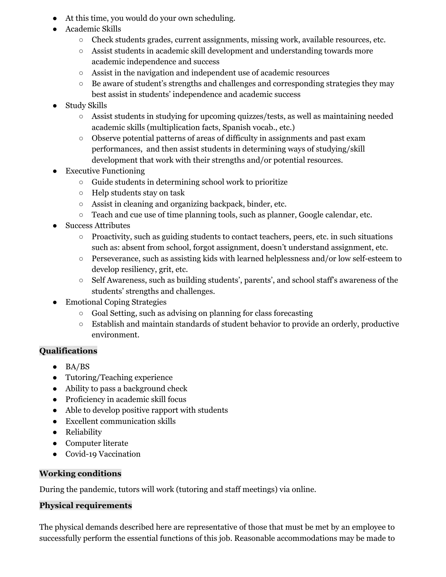- At this time, you would do your own scheduling.
- Academic Skills
	- Check students grades, current assignments, missing work, available resources, etc.
	- Assist students in academic skill development and understanding towards more academic independence and success
	- Assist in the navigation and independent use of academic resources
	- Be aware of student's strengths and challenges and corresponding strategies they may best assist in students' independence and academic success
- Study Skills
	- Assist students in studying for upcoming quizzes/tests, as well as maintaining needed academic skills (multiplication facts, Spanish vocab., etc.)
	- Observe potential patterns of areas of difficulty in assignments and past exam performances, and then assist students in determining ways of studying/skill development that work with their strengths and/or potential resources.
- **Executive Functioning** 
	- Guide students in determining school work to prioritize
	- Help students stay on task
	- Assist in cleaning and organizing backpack, binder, etc.
	- Teach and cue use of time planning tools, such as planner, Google calendar, etc.
- **Success Attributes** 
	- Proactivity, such as guiding students to contact teachers, peers, etc. in such situations such as: absent from school, forgot assignment, doesn't understand assignment, etc.
	- Perseverance, such as assisting kids with learned helplessness and/or low self-esteem to develop resiliency, grit, etc.
	- Self Awareness, such as building students', parents', and school staff's awareness of the students' strengths and challenges.
- Emotional Coping Strategies
	- Goal Setting, such as advising on planning for class forecasting
	- Establish and maintain standards of student behavior to provide an orderly, productive environment.

### **Qualifications**

- $\bullet$  BA/BS
- Tutoring/Teaching experience
- Ability to pass a background check
- Proficiency in academic skill focus
- Able to develop positive rapport with students
- Excellent communication skills
- Reliability
- Computer literate
- Covid-19 Vaccination

#### **Working conditions**

During the pandemic, tutors will work (tutoring and staff meetings) via online.

### **Physical requirements**

The physical demands described here are representative of those that must be met by an employee to successfully perform the essential functions of this job. Reasonable accommodations may be made to